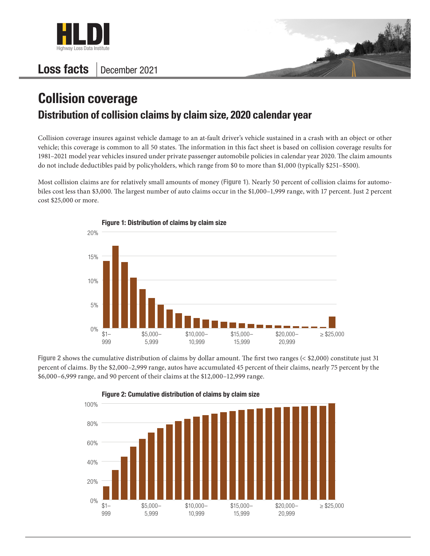

## Loss facts December 2021



## **Collision coverage Distribution of collision claims by claim size, 2020 calendar year**

Collision coverage insures against vehicle damage to an at-fault driver's vehicle sustained in a crash with an object or other vehicle; this coverage is common to all 50 states. The information in this fact sheet is based on collision coverage results for 1981–2021 model year vehicles insured under private passenger automobile policies in calendar year 2020. The claim amounts do not include deductibles paid by policyholders, which range from \$0 to more than \$1,000 (typically \$251–\$500).

Most collision claims are for relatively small amounts of money (Figure 1). Nearly 50 percent of collision claims for automobiles cost less than \$3,000. The largest number of auto claims occur in the \$1,000–1,999 range, with 17 percent. Just 2 percent cost \$25,000 or more.



Figure 2 shows the cumulative distribution of claims by dollar amount. The first two ranges (< \$2,000) constitute just 31 percent of claims. By the \$2,000–2,999 range, autos have accumulated 45 percent of their claims, nearly 75 percent by the \$6,000–6,999 range, and 90 percent of their claims at the \$12,000–12,999 range.